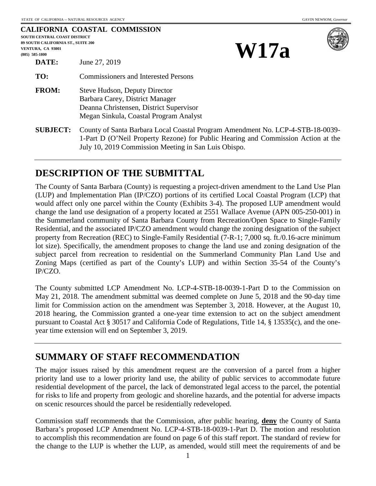| <b>CALIFORNIA COASTAL COMMISSION</b><br><b>SOUTH CENTRAL COAST DISTRICT</b><br>89 SOUTH CALIFORNIA ST., SUITE 200<br>VENTURA, CA 93001<br>$(805)$ 585-1800 |                                                                                                                                                                                                                             | <b>W17a</b> |  |
|------------------------------------------------------------------------------------------------------------------------------------------------------------|-----------------------------------------------------------------------------------------------------------------------------------------------------------------------------------------------------------------------------|-------------|--|
| DATE:                                                                                                                                                      | June 27, 2019                                                                                                                                                                                                               |             |  |
| TO:                                                                                                                                                        | <b>Commissioners and Interested Persons</b>                                                                                                                                                                                 |             |  |
| <b>FROM:</b>                                                                                                                                               | <b>Steve Hudson, Deputy Director</b><br>Barbara Carey, District Manager<br>Deanna Christensen, District Supervisor<br>Megan Sinkula, Coastal Program Analyst                                                                |             |  |
| <b>SUBJECT:</b>                                                                                                                                            | County of Santa Barbara Local Coastal Program Amendment No. LCP-4-STB-18-0039-<br>1-Part D (O'Neil Property Rezone) for Public Hearing and Commission Action at the<br>July 10, 2019 Commission Meeting in San Luis Obispo. |             |  |

# **DESCRIPTION OF THE SUBMITTAL**

The County of Santa Barbara (County) is requesting a project-driven amendment to the Land Use Plan (LUP) and Implementation Plan (IP/CZO) portions of its certified Local Coastal Program (LCP) that would affect only one parcel within the County (Exhibits 3-4). The proposed LUP amendment would change the land use designation of a property located at 2551 Wallace Avenue (APN 005-250-001) in the Summerland community of Santa Barbara County from Recreation/Open Space to Single-Family Residential, and the associated IP/CZO amendment would change the zoning designation of the subject property from Recreation (REC) to Single-Family Residential (7-R-1; 7,000 sq. ft./0.16-acre minimum lot size). Specifically, the amendment proposes to change the land use and zoning designation of the subject parcel from recreation to residential on the Summerland Community Plan Land Use and Zoning Maps (certified as part of the County's LUP) and within Section 35-54 of the County's IP/CZO.

The County submitted LCP Amendment No. LCP-4-STB-18-0039-1-Part D to the Commission on May 21, 2018. The amendment submittal was deemed complete on June 5, 2018 and the 90-day time limit for Commission action on the amendment was September 3, 2018. However, at the August 10, 2018 hearing, the Commission granted a one-year time extension to act on the subject amendment pursuant to Coastal Act § 30517 and California Code of Regulations, Title 14, § 13535(c), and the oneyear time extension will end on September 3, 2019.

# **SUMMARY OF STAFF RECOMMENDATION**

The major issues raised by this amendment request are the conversion of a parcel from a higher priority land use to a lower priority land use, the ability of public services to accommodate future residential development of the parcel, the lack of demonstrated legal access to the parcel, the potential for risks to life and property from geologic and shoreline hazards, and the potential for adverse impacts on scenic resources should the parcel be residentially redeveloped.

Commission staff recommends that the Commission, after public hearing, **deny** the County of Santa Barbara's proposed LCP Amendment No. LCP-4-STB-18-0039-1-Part D. The motion and resolution to accomplish this recommendation are found on page 6 of this staff report. The standard of review for the change to the LUP is whether the LUP, as amended, would still meet the requirements of and be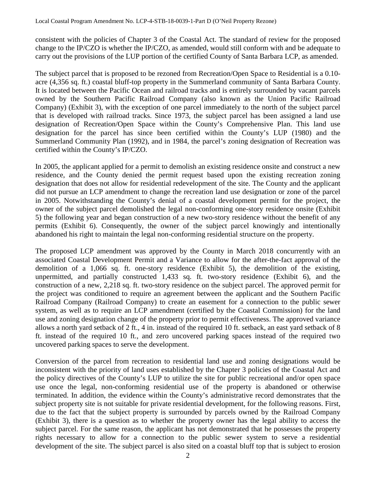consistent with the policies of Chapter 3 of the Coastal Act. The standard of review for the proposed change to the IP/CZO is whether the IP/CZO, as amended, would still conform with and be adequate to carry out the provisions of the LUP portion of the certified County of Santa Barbara LCP, as amended.

The subject parcel that is proposed to be rezoned from Recreation/Open Space to Residential is a 0.10 acre (4,356 sq. ft.) coastal bluff-top property in the Summerland community of Santa Barbara County. It is located between the Pacific Ocean and railroad tracks and is entirely surrounded by vacant parcels owned by the Southern Pacific Railroad Company (also known as the Union Pacific Railroad Company) (Exhibit 3), with the exception of one parcel immediately to the north of the subject parcel that is developed with railroad tracks. Since 1973, the subject parcel has been assigned a land use designation of Recreation/Open Space within the County's Comprehensive Plan. This land use designation for the parcel has since been certified within the County's LUP (1980) and the Summerland Community Plan (1992), and in 1984, the parcel's zoning designation of Recreation was certified within the County's IP/CZO.

In 2005, the applicant applied for a permit to demolish an existing residence onsite and construct a new residence, and the County denied the permit request based upon the existing recreation zoning designation that does not allow for residential redevelopment of the site. The County and the applicant did not pursue an LCP amendment to change the recreation land use designation or zone of the parcel in 2005. Notwithstanding the County's denial of a coastal development permit for the project, the owner of the subject parcel demolished the legal non-conforming one-story residence onsite (Exhibit 5) the following year and began construction of a new two-story residence without the benefit of any permits (Exhibit 6). Consequently, the owner of the subject parcel knowingly and intentionally abandoned his right to maintain the legal non-conforming residential structure on the property.

The proposed LCP amendment was approved by the County in March 2018 concurrently with an associated Coastal Development Permit and a Variance to allow for the after-the-fact approval of the demolition of a 1,066 sq. ft. one-story residence (Exhibit 5), the demolition of the existing, unpermitted, and partially constructed 1,433 sq. ft. two-story residence (Exhibit 6), and the construction of a new, 2,218 sq. ft. two-story residence on the subject parcel. The approved permit for the project was conditioned to require an agreement between the applicant and the Southern Pacific Railroad Company (Railroad Company) to create an easement for a connection to the public sewer system, as well as to require an LCP amendment (certified by the Coastal Commission) for the land use and zoning designation change of the property prior to permit effectiveness. The approved variance allows a north yard setback of 2 ft., 4 in. instead of the required 10 ft. setback, an east yard setback of 8 ft. instead of the required 10 ft., and zero uncovered parking spaces instead of the required two uncovered parking spaces to serve the development.

Conversion of the parcel from recreation to residential land use and zoning designations would be inconsistent with the priority of land uses established by the Chapter 3 policies of the Coastal Act and the policy directives of the County's LUP to utilize the site for public recreational and/or open space use once the legal, non-conforming residential use of the property is abandoned or otherwise terminated. In addition, the evidence within the County's administrative record demonstrates that the subject property site is not suitable for private residential development, for the following reasons. First, due to the fact that the subject property is surrounded by parcels owned by the Railroad Company (Exhibit 3), there is a question as to whether the property owner has the legal ability to access the subject parcel. For the same reason, the applicant has not demonstrated that he possesses the property rights necessary to allow for a connection to the public sewer system to serve a residential development of the site. The subject parcel is also sited on a coastal bluff top that is subject to erosion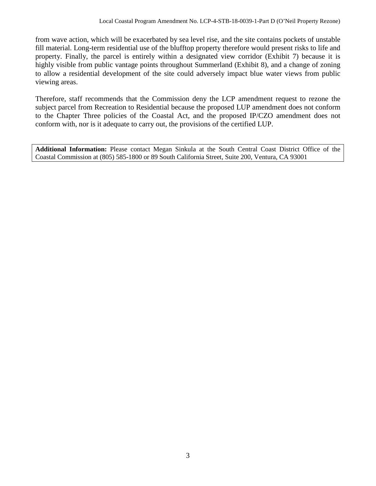from wave action, which will be exacerbated by sea level rise, and the site contains pockets of unstable fill material. Long-term residential use of the blufftop property therefore would present risks to life and property. Finally, the parcel is entirely within a designated view corridor (Exhibit 7) because it is highly visible from public vantage points throughout Summerland (Exhibit 8), and a change of zoning to allow a residential development of the site could adversely impact blue water views from public viewing areas.

Therefore, staff recommends that the Commission deny the LCP amendment request to rezone the subject parcel from Recreation to Residential because the proposed LUP amendment does not conform to the Chapter Three policies of the Coastal Act, and the proposed IP/CZO amendment does not conform with, nor is it adequate to carry out, the provisions of the certified LUP.

**Additional Information:** Please contact Megan Sinkula at the South Central Coast District Office of the Coastal Commission at (805) 585-1800 or 89 South California Street, Suite 200, Ventura, CA 93001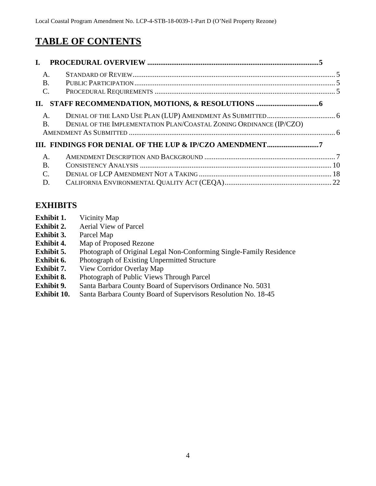# **TABLE OF CONTENTS**

| L.                      |                                                                     |  |
|-------------------------|---------------------------------------------------------------------|--|
| $A$ .<br>$\mathbf{B}$ . |                                                                     |  |
| $\mathcal{C}$ .         |                                                                     |  |
|                         |                                                                     |  |
| A.<br><b>B</b> .        | DENIAL OF THE IMPLEMENTATION PLAN/COASTAL ZONING ORDINANCE (IP/CZO) |  |
|                         | III. FINDINGS FOR DENIAL OF THE LUP & IP/CZO AMENDMENT7             |  |
| A.                      |                                                                     |  |
| $\overline{B}$ .        |                                                                     |  |
| C.                      |                                                                     |  |

D. [CALIFORNIA ENVIRONMENTAL QUALITY ACT \(CEQA\)..........................................................](#page-21-0) 22

# **EXHIBITS**

- **Exhibit 1.** Vicinity Map
- **Exhibit 2.** Aerial View of Parcel
- **Exhibit 3.** Parcel Map
- **Exhibit 4.** Map of Proposed Rezone
- **Exhibit 5.** [Photograph of Original Legal Non-Conforming Single-Family Residence](https://documents.coastal.ca.gov/reports/2019/7/w17a/w17a-7-2019-exhibits.pdf)
- **Exhibit 6.** Photograph of Existing Unpermitted Structure
- **Exhibit 7.** View Corridor Overlay Map
- **Exhibit 8.** Photograph of Public Views Through Parcel
- **Exhibit 9.** Santa Barbara County Board of Supervisors Ordinance No. 5031
- **Exhibit 10.** Santa Barbara County Board of Supervisors Resolution No. 18-45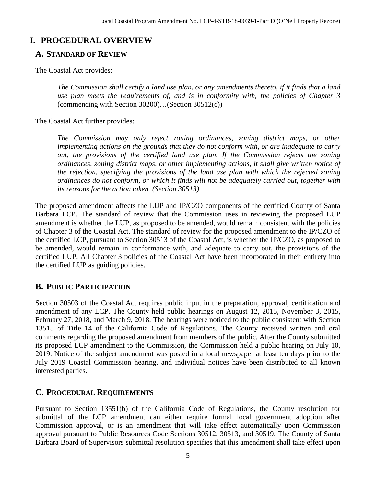# <span id="page-4-0"></span>**I. PROCEDURAL OVERVIEW**

# <span id="page-4-1"></span>**A. STANDARD OF REVIEW**

The Coastal Act provides:

*The Commission shall certify a land use plan, or any amendments thereto, if it finds that a land use plan meets the requirements of, and is in conformity with, the policies of Chapter 3*  (commencing with Section 30200)…(Section 30512(c))

The Coastal Act further provides:

*The Commission may only reject zoning ordinances, zoning district maps, or other implementing actions on the grounds that they do not conform with, or are inadequate to carry out, the provisions of the certified land use plan. If the Commission rejects the zoning ordinances, zoning district maps, or other implementing actions, it shall give written notice of the rejection, specifying the provisions of the land use plan with which the rejected zoning ordinances do not conform, or which it finds will not be adequately carried out, together with its reasons for the action taken. (Section 30513)*

The proposed amendment affects the LUP and IP/CZO components of the certified County of Santa Barbara LCP. The standard of review that the Commission uses in reviewing the proposed LUP amendment is whether the LUP, as proposed to be amended, would remain consistent with the policies of Chapter 3 of the Coastal Act. The standard of review for the proposed amendment to the IP/CZO of the certified LCP, pursuant to Section 30513 of the Coastal Act, is whether the IP/CZO, as proposed to be amended, would remain in conformance with, and adequate to carry out, the provisions of the certified LUP. All Chapter 3 policies of the Coastal Act have been incorporated in their entirety into the certified LUP as guiding policies.

# <span id="page-4-2"></span>**B. PUBLIC PARTICIPATION**

Section 30503 of the Coastal Act requires public input in the preparation, approval, certification and amendment of any LCP. The County held public hearings on August 12, 2015, November 3, 2015, February 27, 2018, and March 9, 2018. The hearings were noticed to the public consistent with Section 13515 of Title 14 of the California Code of Regulations. The County received written and oral comments regarding the proposed amendment from members of the public. After the County submitted its proposed LCP amendment to the Commission, the Commission held a public hearing on July 10, 2019. Notice of the subject amendment was posted in a local newspaper at least ten days prior to the July 2019 Coastal Commission hearing, and individual notices have been distributed to all known interested parties.

# <span id="page-4-3"></span>**C. PROCEDURAL REQUIREMENTS**

Pursuant to Section 13551(b) of the California Code of Regulations, the County resolution for submittal of the LCP amendment can either require formal local government adoption after Commission approval, or is an amendment that will take effect automatically upon Commission approval pursuant to Public Resources Code Sections 30512, 30513, and 30519. The County of Santa Barbara Board of Supervisors submittal resolution specifies that this amendment shall take effect upon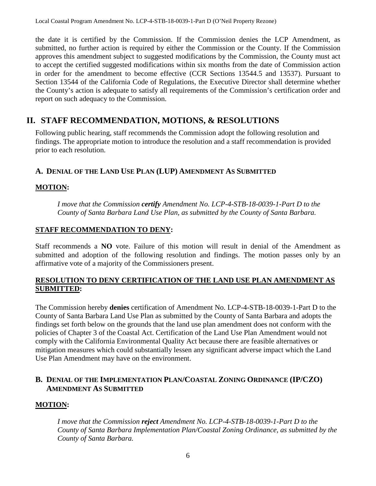the date it is certified by the Commission. If the Commission denies the LCP Amendment, as submitted, no further action is required by either the Commission or the County. If the Commission approves this amendment subject to suggested modifications by the Commission, the County must act to accept the certified suggested modifications within six months from the date of Commission action in order for the amendment to become effective (CCR Sections 13544.5 and 13537). Pursuant to Section 13544 of the California Code of Regulations, the Executive Director shall determine whether the County's action is adequate to satisfy all requirements of the Commission's certification order and report on such adequacy to the Commission.

# <span id="page-5-0"></span>**II. STAFF RECOMMENDATION, MOTIONS, & RESOLUTIONS**

Following public hearing, staff recommends the Commission adopt the following resolution and findings. The appropriate motion to introduce the resolution and a staff recommendation is provided prior to each resolution.

# <span id="page-5-1"></span>**A. DENIAL OF THE LAND USE PLAN (LUP) AMENDMENT AS SUBMITTED**

### **MOTION:**

*I move that the Commission certify Amendment No. LCP-4-STB-18-0039-1-Part D to the County of Santa Barbara Land Use Plan, as submitted by the County of Santa Barbara.*

#### **STAFF RECOMMENDATION TO DENY:**

Staff recommends a **NO** vote. Failure of this motion will result in denial of the Amendment as submitted and adoption of the following resolution and findings. The motion passes only by an affirmative vote of a majority of the Commissioners present.

#### **RESOLUTION TO DENY CERTIFICATION OF THE LAND USE PLAN AMENDMENT AS SUBMITTED:**

The Commission hereby **denies** certification of Amendment No. LCP-4-STB-18-0039-1-Part D to the County of Santa Barbara Land Use Plan as submitted by the County of Santa Barbara and adopts the findings set forth below on the grounds that the land use plan amendment does not conform with the policies of Chapter 3 of the Coastal Act. Certification of the Land Use Plan Amendment would not comply with the California Environmental Quality Act because there are feasible alternatives or mitigation measures which could substantially lessen any significant adverse impact which the Land Use Plan Amendment may have on the environment.

### <span id="page-5-2"></span>**B. DENIAL OF THE IMPLEMENTATION PLAN/COASTAL ZONING ORDINANCE (IP/CZO) AMENDMENT AS SUBMITTED**

### **MOTION:**

*I move that the Commission reject Amendment No. LCP-4-STB-18-0039-1-Part D to the County of Santa Barbara Implementation Plan/Coastal Zoning Ordinance, as submitted by the County of Santa Barbara.*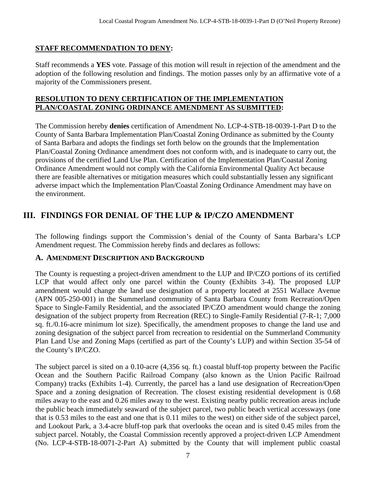### **STAFF RECOMMENDATION TO DENY:**

Staff recommends a **YES** vote. Passage of this motion will result in rejection of the amendment and the adoption of the following resolution and findings. The motion passes only by an affirmative vote of a majority of the Commissioners present.

#### **RESOLUTION TO DENY CERTIFICATION OF THE IMPLEMENTATION PLAN/COASTAL ZONING ORDINANCE AMENDMENT AS SUBMITTED:**

The Commission hereby **denies** certification of Amendment No. LCP-4-STB-18-0039-1-Part D to the County of Santa Barbara Implementation Plan/Coastal Zoning Ordinance as submitted by the County of Santa Barbara and adopts the findings set forth below on the grounds that the Implementation Plan/Coastal Zoning Ordinance amendment does not conform with, and is inadequate to carry out, the provisions of the certified Land Use Plan. Certification of the Implementation Plan/Coastal Zoning Ordinance Amendment would not comply with the California Environmental Quality Act because there are feasible alternatives or mitigation measures which could substantially lessen any significant adverse impact which the Implementation Plan/Coastal Zoning Ordinance Amendment may have on the environment.

# <span id="page-6-0"></span>**III. FINDINGS FOR DENIAL OF THE LUP & IP/CZO AMENDMENT**

The following findings support the Commission's denial of the County of Santa Barbara's LCP Amendment request. The Commission hereby finds and declares as follows:

#### <span id="page-6-1"></span>**A. AMENDMENT DESCRIPTION AND BACKGROUND**

The County is requesting a project-driven amendment to the LUP and IP/CZO portions of its certified LCP that would affect only one parcel within the County (Exhibits 3-4). The proposed LUP amendment would change the land use designation of a property located at 2551 Wallace Avenue (APN 005-250-001) in the Summerland community of Santa Barbara County from Recreation/Open Space to Single-Family Residential, and the associated IP/CZO amendment would change the zoning designation of the subject property from Recreation (REC) to Single-Family Residential (7-R-1; 7,000 sq. ft./0.16-acre minimum lot size). Specifically, the amendment proposes to change the land use and zoning designation of the subject parcel from recreation to residential on the Summerland Community Plan Land Use and Zoning Maps (certified as part of the County's LUP) and within Section 35-54 of the County's IP/CZO.

The subject parcel is sited on a 0.10-acre (4,356 sq. ft.) coastal bluff-top property between the Pacific Ocean and the Southern Pacific Railroad Company (also known as the Union Pacific Railroad Company) tracks (Exhibits 1-4). Currently, the parcel has a land use designation of Recreation/Open Space and a zoning designation of Recreation. The closest existing residential development is 0.68 miles away to the east and 0.26 miles away to the west. Existing nearby public recreation areas include the public beach immediately seaward of the subject parcel, two public beach vertical accessways (one that is 0.53 miles to the east and one that is 0.11 miles to the west) on either side of the subject parcel, and Lookout Park, a 3.4-acre bluff-top park that overlooks the ocean and is sited 0.45 miles from the subject parcel. Notably, the Coastal Commission recently approved a project-driven LCP Amendment (No. LCP-4-STB-18-0071-2-Part A) submitted by the County that will implement public coastal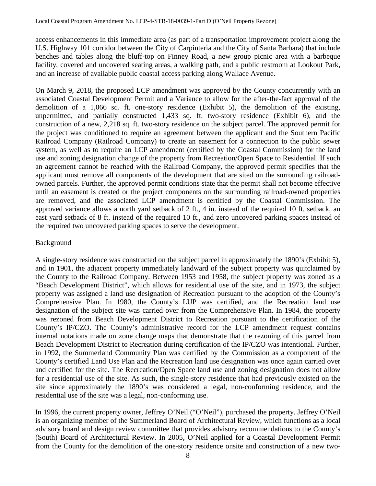access enhancements in this immediate area (as part of a transportation improvement project along the U.S. Highway 101 corridor between the City of Carpinteria and the City of Santa Barbara) that include benches and tables along the bluff-top on Finney Road, a new group picnic area with a barbeque facility, covered and uncovered seating areas, a walking path, and a public restroom at Lookout Park, and an increase of available public coastal access parking along Wallace Avenue.

On March 9, 2018, the proposed LCP amendment was approved by the County concurrently with an associated Coastal Development Permit and a Variance to allow for the after-the-fact approval of the demolition of a 1,066 sq. ft. one-story residence (Exhibit 5), the demolition of the existing, unpermitted, and partially constructed 1,433 sq. ft. two-story residence (Exhibit 6), and the construction of a new, 2,218 sq. ft. two-story residence on the subject parcel. The approved permit for the project was conditioned to require an agreement between the applicant and the Southern Pacific Railroad Company (Railroad Company) to create an easement for a connection to the public sewer system, as well as to require an LCP amendment (certified by the Coastal Commission) for the land use and zoning designation change of the property from Recreation/Open Space to Residential. If such an agreement cannot be reached with the Railroad Company, the approved permit specifies that the applicant must remove all components of the development that are sited on the surrounding railroadowned parcels. Further, the approved permit conditions state that the permit shall not become effective until an easement is created or the project components on the surrounding railroad-owned properties are removed, and the associated LCP amendment is certified by the Coastal Commission. The approved variance allows a north yard setback of 2 ft., 4 in. instead of the required 10 ft. setback, an east yard setback of 8 ft. instead of the required 10 ft., and zero uncovered parking spaces instead of the required two uncovered parking spaces to serve the development.

#### **Background**

A single-story residence was constructed on the subject parcel in approximately the 1890's (Exhibit 5), and in 1901, the adjacent property immediately landward of the subject property was quitclaimed by the County to the Railroad Company. Between 1953 and 1958, the subject property was zoned as a "Beach Development District", which allows for residential use of the site, and in 1973, the subject property was assigned a land use designation of Recreation pursuant to the adoption of the County's Comprehensive Plan. In 1980, the County's LUP was certified, and the Recreation land use designation of the subject site was carried over from the Comprehensive Plan. In 1984, the property was rezoned from Beach Development District to Recreation pursuant to the certification of the County's IP/CZO. The County's administrative record for the LCP amendment request contains internal notations made on zone change maps that demonstrate that the rezoning of this parcel from Beach Development District to Recreation during certification of the IP/CZO was intentional. Further, in 1992, the Summerland Community Plan was certified by the Commission as a component of the County's certified Land Use Plan and the Recreation land use designation was once again carried over and certified for the site. The Recreation/Open Space land use and zoning designation does not allow for a residential use of the site. As such, the single-story residence that had previously existed on the site since approximately the 1890's was considered a legal, non-conforming residence, and the residential use of the site was a legal, non-conforming use.

In 1996, the current property owner, Jeffrey O'Neil ("O'Neil"), purchased the property. Jeffrey O'Neil is an organizing member of the Summerland Board of Architectural Review, which functions as a local advisory board and design review committee that provides advisory recommendations to the County's (South) Board of Architectural Review. In 2005, O'Neil applied for a Coastal Development Permit from the County for the demolition of the one-story residence onsite and construction of a new two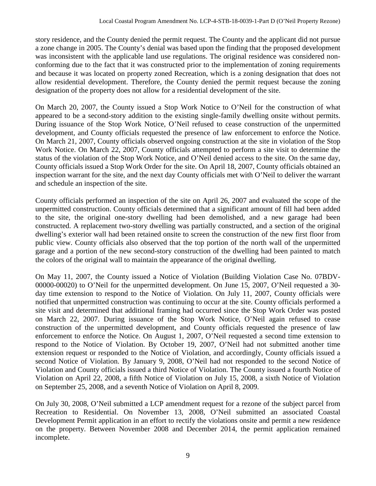story residence, and the County denied the permit request. The County and the applicant did not pursue a zone change in 2005. The County's denial was based upon the finding that the proposed development was inconsistent with the applicable land use regulations. The original residence was considered nonconforming due to the fact that it was constructed prior to the implementation of zoning requirements and because it was located on property zoned Recreation, which is a zoning designation that does not allow residential development. Therefore, the County denied the permit request because the zoning designation of the property does not allow for a residential development of the site.

On March 20, 2007, the County issued a Stop Work Notice to O'Neil for the construction of what appeared to be a second-story addition to the existing single-family dwelling onsite without permits. During issuance of the Stop Work Notice, O'Neil refused to cease construction of the unpermitted development, and County officials requested the presence of law enforcement to enforce the Notice. On March 21, 2007, County officials observed ongoing construction at the site in violation of the Stop Work Notice. On March 22, 2007, County officials attempted to perform a site visit to determine the status of the violation of the Stop Work Notice, and O'Neil denied access to the site. On the same day, County officials issued a Stop Work Order for the site. On April 18, 2007, County officials obtained an inspection warrant for the site, and the next day County officials met with O'Neil to deliver the warrant and schedule an inspection of the site.

County officials performed an inspection of the site on April 26, 2007 and evaluated the scope of the unpermitted construction. County officials determined that a significant amount of fill had been added to the site, the original one-story dwelling had been demolished, and a new garage had been constructed. A replacement two-story dwelling was partially constructed, and a section of the original dwelling's exterior wall had been retained onsite to screen the construction of the new first floor from public view. County officials also observed that the top portion of the north wall of the unpermitted garage and a portion of the new second-story construction of the dwelling had been painted to match the colors of the original wall to maintain the appearance of the original dwelling.

On May 11, 2007, the County issued a Notice of Violation (Building Violation Case No. 07BDV-00000-00020) to O'Neil for the unpermitted development. On June 15, 2007, O'Neil requested a 30 day time extension to respond to the Notice of Violation. On July 11, 2007, County officials were notified that unpermitted construction was continuing to occur at the site. County officials performed a site visit and determined that additional framing had occurred since the Stop Work Order was posted on March 22, 2007. During issuance of the Stop Work Notice, O'Neil again refused to cease construction of the unpermitted development, and County officials requested the presence of law enforcement to enforce the Notice. On August 1, 2007, O'Neil requested a second time extension to respond to the Notice of Violation. By October 19, 2007, O'Neil had not submitted another time extension request or responded to the Notice of Violation, and accordingly, County officials issued a second Notice of Violation. By January 9, 2008, O'Neil had not responded to the second Notice of Violation and County officials issued a third Notice of Violation. The County issued a fourth Notice of Violation on April 22, 2008, a fifth Notice of Violation on July 15, 2008, a sixth Notice of Violation on September 25, 2008, and a seventh Notice of Violation on April 8, 2009.

On July 30, 2008, O'Neil submitted a LCP amendment request for a rezone of the subject parcel from Recreation to Residential. On November 13, 2008, O'Neil submitted an associated Coastal Development Permit application in an effort to rectify the violations onsite and permit a new residence on the property. Between November 2008 and December 2014, the permit application remained incomplete.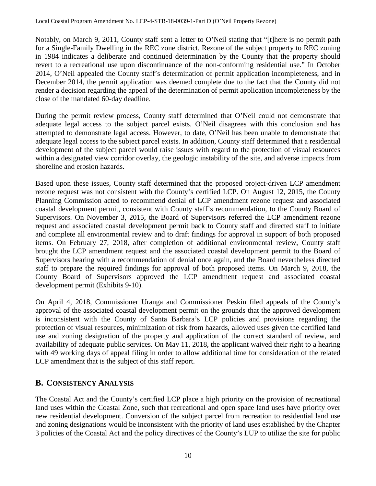Notably, on March 9, 2011, County staff sent a letter to O'Neil stating that "[t]here is no permit path for a Single-Family Dwelling in the REC zone district. Rezone of the subject property to REC zoning in 1984 indicates a deliberate and continued determination by the County that the property should revert to a recreational use upon discontinuance of the non-conforming residential use." In October 2014, O'Neil appealed the County staff's determination of permit application incompleteness, and in December 2014, the permit application was deemed complete due to the fact that the County did not render a decision regarding the appeal of the determination of permit application incompleteness by the close of the mandated 60-day deadline.

During the permit review process, County staff determined that O'Neil could not demonstrate that adequate legal access to the subject parcel exists. O'Neil disagrees with this conclusion and has attempted to demonstrate legal access. However, to date, O'Neil has been unable to demonstrate that adequate legal access to the subject parcel exists. In addition, County staff determined that a residential development of the subject parcel would raise issues with regard to the protection of visual resources within a designated view corridor overlay, the geologic instability of the site, and adverse impacts from shoreline and erosion hazards.

Based upon these issues, County staff determined that the proposed project-driven LCP amendment rezone request was not consistent with the County's certified LCP. On August 12, 2015, the County Planning Commission acted to recommend denial of LCP amendment rezone request and associated coastal development permit, consistent with County staff's recommendation, to the County Board of Supervisors. On November 3, 2015, the Board of Supervisors referred the LCP amendment rezone request and associated coastal development permit back to County staff and directed staff to initiate and complete all environmental review and to draft findings for approval in support of both proposed items. On February 27, 2018, after completion of additional environmental review, County staff brought the LCP amendment request and the associated coastal development permit to the Board of Supervisors hearing with a recommendation of denial once again, and the Board nevertheless directed staff to prepare the required findings for approval of both proposed items. On March 9, 2018, the County Board of Supervisors approved the LCP amendment request and associated coastal development permit (Exhibits 9-10).

On April 4, 2018, Commissioner Uranga and Commissioner Peskin filed appeals of the County's approval of the associated coastal development permit on the grounds that the approved development is inconsistent with the County of Santa Barbara's LCP policies and provisions regarding the protection of visual resources, minimization of risk from hazards, allowed uses given the certified land use and zoning designation of the property and application of the correct standard of review, and availability of adequate public services. On May 11, 2018, the applicant waived their right to a hearing with 49 working days of appeal filing in order to allow additional time for consideration of the related LCP amendment that is the subject of this staff report.

### <span id="page-9-0"></span>**B. CONSISTENCY ANALYSIS**

The Coastal Act and the County's certified LCP place a high priority on the provision of recreational land uses within the Coastal Zone, such that recreational and open space land uses have priority over new residential development. Conversion of the subject parcel from recreation to residential land use and zoning designations would be inconsistent with the priority of land uses established by the Chapter 3 policies of the Coastal Act and the policy directives of the County's LUP to utilize the site for public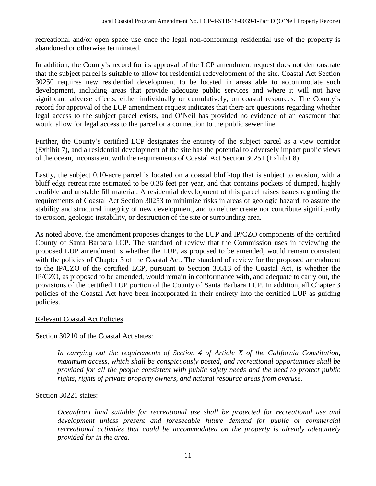recreational and/or open space use once the legal non-conforming residential use of the property is abandoned or otherwise terminated.

In addition, the County's record for its approval of the LCP amendment request does not demonstrate that the subject parcel is suitable to allow for residential redevelopment of the site. Coastal Act Section 30250 requires new residential development to be located in areas able to accommodate such development, including areas that provide adequate public services and where it will not have significant adverse effects, either individually or cumulatively, on coastal resources. The County's record for approval of the LCP amendment request indicates that there are questions regarding whether legal access to the subject parcel exists, and O'Neil has provided no evidence of an easement that would allow for legal access to the parcel or a connection to the public sewer line.

Further, the County's certified LCP designates the entirety of the subject parcel as a view corridor (Exhibit 7), and a residential development of the site has the potential to adversely impact public views of the ocean, inconsistent with the requirements of Coastal Act Section 30251 (Exhibit 8).

Lastly, the subject 0.10-acre parcel is located on a coastal bluff-top that is subject to erosion, with a bluff edge retreat rate estimated to be 0.36 feet per year, and that contains pockets of dumped, highly erodible and unstable fill material. A residential development of this parcel raises issues regarding the requirements of Coastal Act Section 30253 to minimize risks in areas of geologic hazard, to assure the stability and structural integrity of new development, and to neither create nor contribute significantly to erosion, geologic instability, or destruction of the site or surrounding area.

As noted above, the amendment proposes changes to the LUP and IP/CZO components of the certified County of Santa Barbara LCP. The standard of review that the Commission uses in reviewing the proposed LUP amendment is whether the LUP, as proposed to be amended, would remain consistent with the policies of Chapter 3 of the Coastal Act. The standard of review for the proposed amendment to the IP/CZO of the certified LCP, pursuant to Section 30513 of the Coastal Act, is whether the IP/CZO, as proposed to be amended, would remain in conformance with, and adequate to carry out, the provisions of the certified LUP portion of the County of Santa Barbara LCP. In addition, all Chapter 3 policies of the Coastal Act have been incorporated in their entirety into the certified LUP as guiding policies.

### Relevant Coastal Act Policies

Section 30210 of the Coastal Act states:

*In carrying out the requirements of Section 4 of Article X of the California Constitution, maximum access, which shall be conspicuously posted, and recreational opportunities shall be provided for all the people consistent with public safety needs and the need to protect public rights, rights of private property owners, and natural resource areas from overuse.* 

#### Section 30221 states:

*Oceanfront land suitable for recreational use shall be protected for recreational use and development unless present and foreseeable future demand for public or commercial recreational activities that could be accommodated on the property is already adequately provided for in the area.*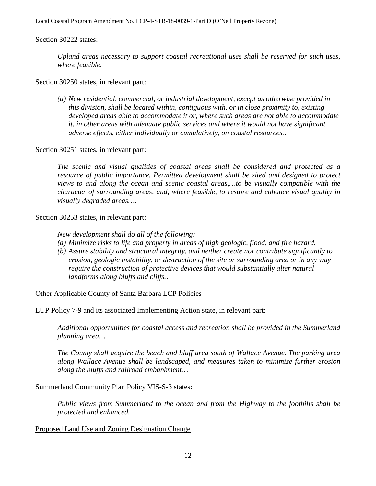Local Coastal Program Amendment No. LCP-4-STB-18-0039-1-Part D (O'Neil Property Rezone)

Section 30222 states:

*Upland areas necessary to support coastal recreational uses shall be reserved for such uses, where feasible.*

Section 30250 states, in relevant part:

*(a) New residential, commercial, or industrial development, except as otherwise provided in this division, shall be located within, contiguous with, or in close proximity to, existing developed areas able to accommodate it or, where such areas are not able to accommodate it, in other areas with adequate public services and where it would not have significant adverse effects, either individually or cumulatively, on coastal resources…*

Section 30251 states, in relevant part:

*The scenic and visual qualities of coastal areas shall be considered and protected as a*  resource of public importance. Permitted development shall be sited and designed to protect *views to and along the ocean and scenic coastal areas,…to be visually compatible with the character of surrounding areas, and, where feasible, to restore and enhance visual quality in visually degraded areas….*

Section 30253 states, in relevant part:

*New development shall do all of the following:*

- *(a) Minimize risks to life and property in areas of high geologic, flood, and fire hazard.*
- *(b) Assure stability and structural integrity, and neither create nor contribute significantly to erosion, geologic instability, or destruction of the site or surrounding area or in any way require the construction of protective devices that would substantially alter natural landforms along bluffs and cliffs…*

Other Applicable County of Santa Barbara LCP Policies

LUP Policy 7-9 and its associated Implementing Action state, in relevant part:

*Additional opportunities for coastal access and recreation shall be provided in the Summerland planning area…*

*The County shall acquire the beach and bluff area south of Wallace Avenue. The parking area along Wallace Avenue shall be landscaped, and measures taken to minimize further erosion along the bluffs and railroad embankment…*

Summerland Community Plan Policy VIS-S-3 states:

*Public views from Summerland to the ocean and from the Highway to the foothills shall be protected and enhanced.* 

#### Proposed Land Use and Zoning Designation Change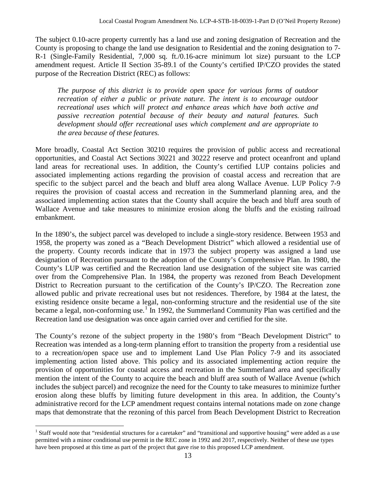The subject 0.10-acre property currently has a land use and zoning designation of Recreation and the County is proposing to change the land use designation to Residential and the zoning designation to 7- R-1 (Single-Family Residential, 7,000 sq. ft./0.16-acre minimum lot size) pursuant to the LCP amendment request. Article II Section 35-89.1 of the County's certified IP/CZO provides the stated purpose of the Recreation District (REC) as follows:

*The purpose of this district is to provide open space for various forms of outdoor recreation of either a public or private nature. The intent is to encourage outdoor recreational uses which will protect and enhance areas which have both active and passive recreation potential because of their beauty and natural features. Such development should offer recreational uses which complement and are appropriate to the area because of these features.* 

More broadly, Coastal Act Section 30210 requires the provision of public access and recreational opportunities, and Coastal Act Sections 30221 and 30222 reserve and protect oceanfront and upland land areas for recreational uses. In addition, the County's certified LUP contains policies and associated implementing actions regarding the provision of coastal access and recreation that are specific to the subject parcel and the beach and bluff area along Wallace Avenue. LUP Policy 7-9 requires the provision of coastal access and recreation in the Summerland planning area, and the associated implementing action states that the County shall acquire the beach and bluff area south of Wallace Avenue and take measures to minimize erosion along the bluffs and the existing railroad embankment.

In the 1890's, the subject parcel was developed to include a single-story residence. Between 1953 and 1958, the property was zoned as a "Beach Development District" which allowed a residential use of the property. County records indicate that in 1973 the subject property was assigned a land use designation of Recreation pursuant to the adoption of the County's Comprehensive Plan. In 1980, the County's LUP was certified and the Recreation land use designation of the subject site was carried over from the Comprehensive Plan. In 1984, the property was rezoned from Beach Development District to Recreation pursuant to the certification of the County's IP/CZO. The Recreation zone allowed public and private recreational uses but not residences. Therefore, by 1984 at the latest, the existing residence onsite became a legal, non-conforming structure and the residential use of the site became a legal, non-conforming use.<sup>[1](#page-12-0)</sup> In 1992, the Summerland Community Plan was certified and the Recreation land use designation was once again carried over and certified for the site.

The County's rezone of the subject property in the 1980's from "Beach Development District" to Recreation was intended as a long-term planning effort to transition the property from a residential use to a recreation/open space use and to implement Land Use Plan Policy 7-9 and its associated implementing action listed above. This policy and its associated implementing action require the provision of opportunities for coastal access and recreation in the Summerland area and specifically mention the intent of the County to acquire the beach and bluff area south of Wallace Avenue (which includes the subject parcel) and recognize the need for the County to take measures to minimize further erosion along these bluffs by limiting future development in this area. In addition, the County's administrative record for the LCP amendment request contains internal notations made on zone change maps that demonstrate that the rezoning of this parcel from Beach Development District to Recreation

<span id="page-12-0"></span><sup>&</sup>lt;sup>1</sup> Staff would note that "residential structures for a caretaker" and "transitional and supportive housing" were added as a use permitted with a minor conditional use permit in the REC zone in 1992 and 2017, respectively. Neither of these use types have been proposed at this time as part of the project that gave rise to this proposed LCP amendment.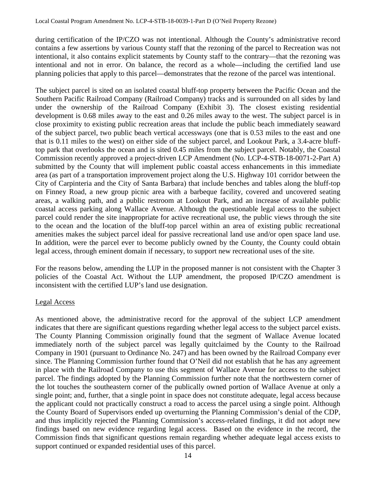during certification of the IP/CZO was not intentional. Although the County's administrative record contains a few assertions by various County staff that the rezoning of the parcel to Recreation was not intentional, it also contains explicit statements by County staff to the contrary—that the rezoning was intentional and not in error. On balance, the record as a whole—including the certified land use planning policies that apply to this parcel—demonstrates that the rezone of the parcel was intentional.

The subject parcel is sited on an isolated coastal bluff-top property between the Pacific Ocean and the Southern Pacific Railroad Company (Railroad Company) tracks and is surrounded on all sides by land under the ownership of the Railroad Company (Exhibit 3). The closest existing residential development is 0.68 miles away to the east and 0.26 miles away to the west. The subject parcel is in close proximity to existing public recreation areas that include the public beach immediately seaward of the subject parcel, two public beach vertical accessways (one that is 0.53 miles to the east and one that is 0.11 miles to the west) on either side of the subject parcel, and Lookout Park, a 3.4-acre blufftop park that overlooks the ocean and is sited 0.45 miles from the subject parcel. Notably, the Coastal Commission recently approved a project-driven LCP Amendment (No. LCP-4-STB-18-0071-2-Part A) submitted by the County that will implement public coastal access enhancements in this immediate area (as part of a transportation improvement project along the U.S. Highway 101 corridor between the City of Carpinteria and the City of Santa Barbara) that include benches and tables along the bluff-top on Finney Road, a new group picnic area with a barbeque facility, covered and uncovered seating areas, a walking path, and a public restroom at Lookout Park, and an increase of available public coastal access parking along Wallace Avenue. Although the questionable legal access to the subject parcel could render the site inappropriate for active recreational use, the public views through the site to the ocean and the location of the bluff-top parcel within an area of existing public recreational amenities makes the subject parcel ideal for passive recreational land use and/or open space land use. In addition, were the parcel ever to become publicly owned by the County, the County could obtain legal access, through eminent domain if necessary, to support new recreational uses of the site.

For the reasons below, amending the LUP in the proposed manner is not consistent with the Chapter 3 policies of the Coastal Act. Without the LUP amendment, the proposed IP/CZO amendment is inconsistent with the certified LUP's land use designation.

#### Legal Access

As mentioned above, the administrative record for the approval of the subject LCP amendment indicates that there are significant questions regarding whether legal access to the subject parcel exists. The County Planning Commission originally found that the segment of Wallace Avenue located immediately north of the subject parcel was legally quitclaimed by the County to the Railroad Company in 1901 (pursuant to Ordinance No. 247) and has been owned by the Railroad Company ever since. The Planning Commission further found that O'Neil did not establish that he has any agreement in place with the Railroad Company to use this segment of Wallace Avenue for access to the subject parcel. The findings adopted by the Planning Commission further note that the northwestern corner of the lot touches the southeastern corner of the publically owned portion of Wallace Avenue at only a single point; and, further, that a single point in space does not constitute adequate, legal access because the applicant could not practically construct a road to access the parcel using a single point. Although the County Board of Supervisors ended up overturning the Planning Commission's denial of the CDP, and thus implicitly rejected the Planning Commission's access-related findings, it did not adopt new findings based on new evidence regarding legal access. Based on the evidence in the record, the Commission finds that significant questions remain regarding whether adequate legal access exists to support continued or expanded residential uses of this parcel.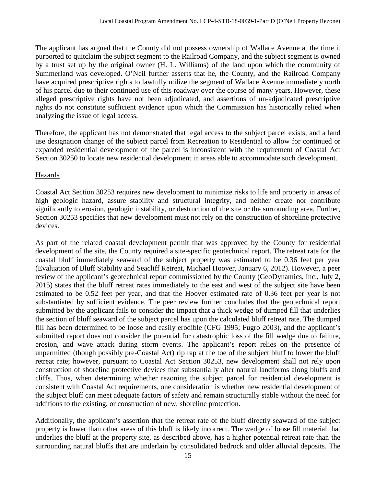The applicant has argued that the County did not possess ownership of Wallace Avenue at the time it purported to quitclaim the subject segment to the Railroad Company, and the subject segment is owned by a trust set up by the original owner (H. L. Williams) of the land upon which the community of Summerland was developed. O'Neil further asserts that he, the County, and the Railroad Company have acquired prescriptive rights to lawfully utilize the segment of Wallace Avenue immediately north of his parcel due to their continued use of this roadway over the course of many years. However, these alleged prescriptive rights have not been adjudicated, and assertions of un-adjudicated prescriptive rights do not constitute sufficient evidence upon which the Commission has historically relied when analyzing the issue of legal access.

Therefore, the applicant has not demonstrated that legal access to the subject parcel exists, and a land use designation change of the subject parcel from Recreation to Residential to allow for continued or expanded residential development of the parcel is inconsistent with the requirement of Coastal Act Section 30250 to locate new residential development in areas able to accommodate such development.

#### Hazards

Coastal Act Section 30253 requires new development to minimize risks to life and property in areas of high geologic hazard, assure stability and structural integrity, and neither create nor contribute significantly to erosion, geologic instability, or destruction of the site or the surrounding area. Further, Section 30253 specifies that new development must not rely on the construction of shoreline protective devices.

As part of the related coastal development permit that was approved by the County for residential development of the site, the County required a site-specific geotechnical report. The retreat rate for the coastal bluff immediately seaward of the subject property was estimated to be 0.36 feet per year (Evaluation of Bluff Stability and Seacliff Retreat, Michael Hoover, January 6, 2012). However, a peer review of the applicant's geotechnical report commissioned by the County (GeoDynamics, Inc., July 2, 2015) states that the bluff retreat rates immediately to the east and west of the subject site have been estimated to be 0.52 feet per year, and that the Hoover estimated rate of 0.36 feet per year is not substantiated by sufficient evidence. The peer review further concludes that the geotechnical report submitted by the applicant fails to consider the impact that a thick wedge of dumped fill that underlies the section of bluff seaward of the subject parcel has upon the calculated bluff retreat rate. The dumped fill has been determined to be loose and easily erodible (CFG 1995; Fugro 2003), and the applicant's submitted report does not consider the potential for catastrophic loss of the fill wedge due to failure, erosion, and wave attack during storm events. The applicant's report relies on the presence of unpermitted (though possibly pre-Coastal Act) rip rap at the toe of the subject bluff to lower the bluff retreat rate; however, pursuant to Coastal Act Section 30253, new development shall not rely upon construction of shoreline protective devices that substantially alter natural landforms along bluffs and cliffs. Thus, when determining whether rezoning the subject parcel for residential development is consistent with Coastal Act requirements, one consideration is whether new residential development of the subject bluff can meet adequate factors of safety and remain structurally stable without the need for additions to the existing, or construction of new, shoreline protection.

Additionally, the applicant's assertion that the retreat rate of the bluff directly seaward of the subject property is lower than other areas of this bluff is likely incorrect. The wedge of loose fill material that underlies the bluff at the property site, as described above, has a higher potential retreat rate than the surrounding natural bluffs that are underlain by consolidated bedrock and older alluvial deposits. The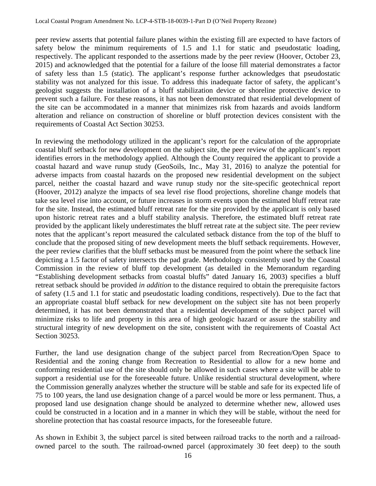peer review asserts that potential failure planes within the existing fill are expected to have factors of safety below the minimum requirements of 1.5 and 1.1 for static and pseudostatic loading, respectively. The applicant responded to the assertions made by the peer review (Hoover, October 23, 2015) and acknowledged that the potential for a failure of the loose fill material demonstrates a factor of safety less than 1.5 (static). The applicant's response further acknowledges that pseudostatic stability was not analyzed for this issue. To address this inadequate factor of safety, the applicant's geologist suggests the installation of a bluff stabilization device or shoreline protective device to prevent such a failure. For these reasons, it has not been demonstrated that residential development of the site can be accommodated in a manner that minimizes risk from hazards and avoids landform alteration and reliance on construction of shoreline or bluff protection devices consistent with the requirements of Coastal Act Section 30253.

In reviewing the methodology utilized in the applicant's report for the calculation of the appropriate coastal bluff setback for new development on the subject site, the peer review of the applicant's report identifies errors in the methodology applied. Although the County required the applicant to provide a coastal hazard and wave runup study (GeoSoils, Inc., May 31, 2016) to analyze the potential for adverse impacts from coastal hazards on the proposed new residential development on the subject parcel, neither the coastal hazard and wave runup study nor the site-specific geotechnical report (Hoover, 2012) analyze the impacts of sea level rise flood projections, shoreline change models that take sea level rise into account, or future increases in storm events upon the estimated bluff retreat rate for the site. Instead, the estimated bluff retreat rate for the site provided by the applicant is only based upon historic retreat rates and a bluff stability analysis. Therefore, the estimated bluff retreat rate provided by the applicant likely underestimates the bluff retreat rate at the subject site. The peer review notes that the applicant's report measured the calculated setback distance from the top of the bluff to conclude that the proposed siting of new development meets the bluff setback requirements. However, the peer review clarifies that the bluff setbacks must be measured from the point where the setback line depicting a 1.5 factor of safety intersects the pad grade. Methodology consistently used by the Coastal Commission in the review of bluff top development (as detailed in the Memorandum regarding "Establishing development setbacks from coastal bluffs" dated January 16, 2003) specifies a bluff retreat setback should be provided *in addition* to the distance required to obtain the prerequisite factors of safety (1.5 and 1.1 for static and pseudostatic loading conditions, respectively). Due to the fact that an appropriate coastal bluff setback for new development on the subject site has not been properly determined, it has not been demonstrated that a residential development of the subject parcel will minimize risks to life and property in this area of high geologic hazard or assure the stability and structural integrity of new development on the site, consistent with the requirements of Coastal Act Section 30253.

Further, the land use designation change of the subject parcel from Recreation/Open Space to Residential and the zoning change from Recreation to Residential to allow for a new home and conforming residential use of the site should only be allowed in such cases where a site will be able to support a residential use for the foreseeable future. Unlike residential structural development, where the Commission generally analyzes whether the structure will be stable and safe for its expected life of 75 to 100 years, the land use designation change of a parcel would be more or less permanent. Thus, a proposed land use designation change should be analyzed to determine whether new, allowed uses could be constructed in a location and in a manner in which they will be stable, without the need for shoreline protection that has coastal resource impacts, for the foreseeable future.

As shown in Exhibit 3, the subject parcel is sited between railroad tracks to the north and a railroadowned parcel to the south. The railroad-owned parcel (approximately 30 feet deep) to the south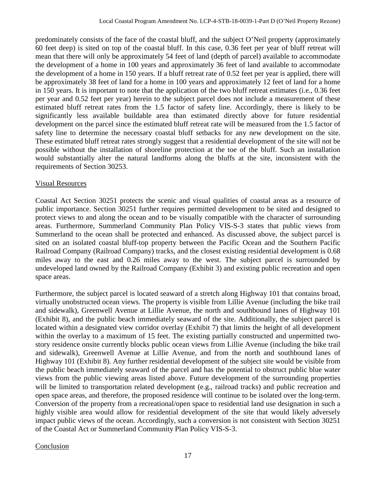predominately consists of the face of the coastal bluff, and the subject O'Neil property (approximately 60 feet deep) is sited on top of the coastal bluff. In this case, 0.36 feet per year of bluff retreat will mean that there will only be approximately 54 feet of land (depth of parcel) available to accommodate the development of a home in 100 years and approximately 36 feet of land available to accommodate the development of a home in 150 years. If a bluff retreat rate of 0.52 feet per year is applied, there will be approximately 38 feet of land for a home in 100 years and approximately 12 feet of land for a home in 150 years. It is important to note that the application of the two bluff retreat estimates (i.e., 0.36 feet per year and 0.52 feet per year) herein to the subject parcel does not include a measurement of these estimated bluff retreat rates from the 1.5 factor of safety line. Accordingly, there is likely to be significantly less available buildable area than estimated directly above for future residential development on the parcel since the estimated bluff retreat rate will be measured from the 1.5 factor of safety line to determine the necessary coastal bluff setbacks for any new development on the site. These estimated bluff retreat rates strongly suggest that a residential development of the site will not be possible without the installation of shoreline protection at the toe of the bluff. Such an installation would substantially alter the natural landforms along the bluffs at the site, inconsistent with the requirements of Section 30253.

#### Visual Resources

Coastal Act Section 30251 protects the scenic and visual qualities of coastal areas as a resource of public importance. Section 30251 further requires permitted development to be sited and designed to protect views to and along the ocean and to be visually compatible with the character of surrounding areas. Furthermore, Summerland Community Plan Policy VIS-S-3 states that public views from Summerland to the ocean shall be protected and enhanced. As discussed above, the subject parcel is sited on an isolated coastal bluff-top property between the Pacific Ocean and the Southern Pacific Railroad Company (Railroad Company) tracks, and the closest existing residential development is 0.68 miles away to the east and 0.26 miles away to the west. The subject parcel is surrounded by undeveloped land owned by the Railroad Company (Exhibit 3) and existing public recreation and open space areas.

Furthermore, the subject parcel is located seaward of a stretch along Highway 101 that contains broad, virtually unobstructed ocean views. The property is visible from Lillie Avenue (including the bike trail and sidewalk), Greenwell Avenue at Lillie Avenue, the north and southbound lanes of Highway 101 (Exhibit 8), and the public beach immediately seaward of the site. Additionally, the subject parcel is located within a designated view corridor overlay (Exhibit 7) that limits the height of all development within the overlay to a maximum of 15 feet. The existing partially constructed and unpermitted twostory residence onsite currently blocks public ocean views from Lillie Avenue (including the bike trail and sidewalk), Greenwell Avenue at Lillie Avenue, and from the north and southbound lanes of Highway 101 (Exhibit 8). Any further residential development of the subject site would be visible from the public beach immediately seaward of the parcel and has the potential to obstruct public blue water views from the public viewing areas listed above. Future development of the surrounding properties will be limited to transportation related development (e.g., railroad tracks) and public recreation and open space areas, and therefore, the proposed residence will continue to be isolated over the long-term. Conversion of the property from a recreational/open space to residential land use designation in such a highly visible area would allow for residential development of the site that would likely adversely impact public views of the ocean. Accordingly, such a conversion is not consistent with Section 30251 of the Coastal Act or Summerland Community Plan Policy VIS-S-3.

#### Conclusion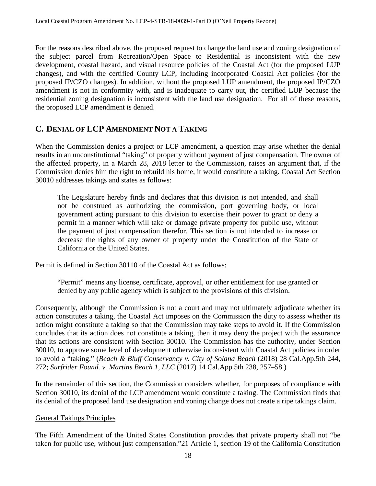For the reasons described above, the proposed request to change the land use and zoning designation of the subject parcel from Recreation/Open Space to Residential is inconsistent with the new development, coastal hazard, and visual resource policies of the Coastal Act (for the proposed LUP changes), and with the certified County LCP, including incorporated Coastal Act policies (for the proposed IP/CZO changes). In addition, without the proposed LUP amendment, the proposed IP/CZO amendment is not in conformity with, and is inadequate to carry out, the certified LUP because the residential zoning designation is inconsistent with the land use designation. For all of these reasons, the proposed LCP amendment is denied.

# <span id="page-17-0"></span>**C. DENIAL OF LCP AMENDMENT NOT A TAKING**

When the Commission denies a project or LCP amendment, a question may arise whether the denial results in an unconstitutional "taking" of property without payment of just compensation. The owner of the affected property, in a March 28, 2018 letter to the Commission, raises an argument that, if the Commission denies him the right to rebuild his home, it would constitute a taking. Coastal Act Section 30010 addresses takings and states as follows:

The Legislature hereby finds and declares that this division is not intended, and shall not be construed as authorizing the commission, port governing body, or local government acting pursuant to this division to exercise their power to grant or deny a permit in a manner which will take or damage private property for public use, without the payment of just compensation therefor. This section is not intended to increase or decrease the rights of any owner of property under the Constitution of the State of California or the United States.

Permit is defined in Section 30110 of the Coastal Act as follows:

"Permit" means any license, certificate, approval, or other entitlement for use granted or denied by any public agency which is subject to the provisions of this division.

Consequently, although the Commission is not a court and may not ultimately adjudicate whether its action constitutes a taking, the Coastal Act imposes on the Commission the duty to assess whether its action might constitute a taking so that the Commission may take steps to avoid it. If the Commission concludes that its action does not constitute a taking, then it may deny the project with the assurance that its actions are consistent with Section 30010. The Commission has the authority, under Section 30010, to approve some level of development otherwise inconsistent with Coastal Act policies in order to avoid a "taking." (*Beach & Bluff Conservancy v. City of Solana Beach* (2018) 28 Cal.App.5th 244, 272; *Surfrider Found. v. Martins Beach 1, LLC* (2017) 14 Cal.App.5th 238, 257–58.)

In the remainder of this section, the Commission considers whether, for purposes of compliance with Section 30010, its denial of the LCP amendment would constitute a taking. The Commission finds that its denial of the proposed land use designation and zoning change does not create a ripe takings claim.

#### General Takings Principles

The Fifth Amendment of the United States Constitution provides that private property shall not "be taken for public use, without just compensation."21 Article 1, section 19 of the California Constitution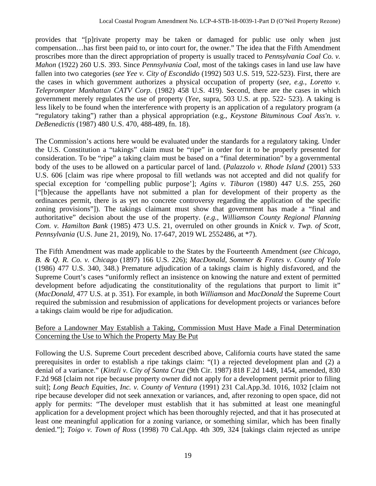provides that "[p]rivate property may be taken or damaged for public use only when just compensation…has first been paid to, or into court for, the owner." The idea that the Fifth Amendment proscribes more than the direct appropriation of property is usually traced to *Pennsylvania Coal Co. v. Mahon* (1922) 260 U.S. 393. Since *Pennsylvania Coal*, most of the takings cases in land use law have fallen into two categories (*see Yee v. City of Escondido* (1992) 503 U.S. 519, 522-523). First, there are the cases in which government authorizes a physical occupation of property (*see, e.g., Loretto v. Teleprompter Manhattan CATV Corp*. (1982) 458 U.S. 419). Second, there are the cases in which government merely regulates the use of property (*Yee*, supra, 503 U.S. at pp. 522- 523). A taking is less likely to be found when the interference with property is an application of a regulatory program (a "regulatory taking") rather than a physical appropriation (e.g., *Keystone Bituminous Coal Ass'n. v. DeBenedictis* (1987) 480 U.S. 470, 488-489, fn. 18).

The Commission's actions here would be evaluated under the standards for a regulatory taking. Under the U.S. Constitution a "takings" claim must be "ripe" in order for it to be properly presented for consideration. To be "ripe" a taking claim must be based on a "final determination" by a governmental body of the uses to be allowed on a particular parcel of land. (*Palazzolo v. Rhode Island* (2001) 533 U.S. 606 [claim was ripe where proposal to fill wetlands was not accepted and did not qualify for special exception for 'compelling public purpose']; *Agins v. Tiburon* (1980) 447 U.S. 255, 260 ["[b]ecause the appellants have not submitted a plan for development of their property as the ordinances permit, there is as yet no concrete controversy regarding the application of the specific zoning provisions"]). The takings claimant must show that government has made a "final and authoritative" decision about the use of the property. (*e.g., Williamson County Regional Planning Com. v. Hamilton Bank* (1985) 473 U.S. 21, overruled on other grounds in *Knick v. Twp. of Scott, Pennsylvania* (U.S. June 21, 2019), No. 17-647, 2019 WL 2552486, at \*7).

The Fifth Amendment was made applicable to the States by the Fourteenth Amendment (*see Chicago, B. & Q. R. Co. v. Chicago* (1897) 166 U.S. 226); *MacDonald, Sommer & Frates v. County of Yolo* (1986) 477 U.S. 340, 348.) Premature adjudication of a takings claim is highly disfavored, and the Supreme Court's cases "uniformly reflect an insistence on knowing the nature and extent of permitted development before adjudicating the constitutionality of the regulations that purport to limit it" (*MacDonald*, 477 U.S. at p. 351). For example, in both *Williamson* and *MacDonald* the Supreme Court required the submission and resubmission of applications for development projects or variances before a takings claim would be ripe for adjudication.

#### Before a Landowner May Establish a Taking, Commission Must Have Made a Final Determination Concerning the Use to Which the Property May Be Put

Following the U.S. Supreme Court precedent described above, California courts have stated the same prerequisites in order to establish a ripe takings claim: "(1) a rejected development plan and (2) a denial of a variance." (*Kinzli v. City of Santa Cruz* (9th Cir. 1987) 818 F.2d 1449, 1454, amended, 830 F.2d 968 [claim not ripe because property owner did not apply for a development permit prior to filing suit]; *Long Beach Equities, Inc. v. County of Ventura* (1991) 231 Cal.App.3d. 1016, 1032 [claim not ripe because developer did not seek annexation or variances, and, after rezoning to open space, did not apply for permits: "The developer must establish that it has submitted at least one meaningful application for a development project which has been thoroughly rejected, and that it has prosecuted at least one meaningful application for a zoning variance, or something similar, which has been finally denied."]; *Toigo v. Town of Ross* (1998) 70 Cal.App. 4th 309, 324 [takings claim rejected as unripe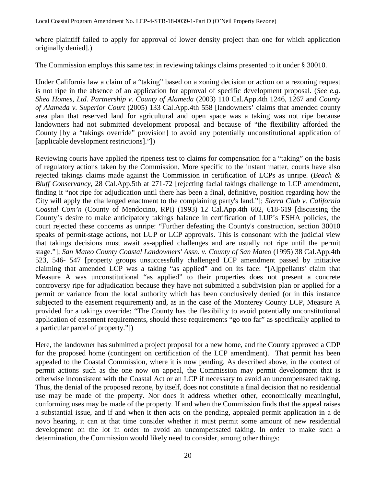where plaintiff failed to apply for approval of lower density project than one for which application originally denied].)

The Commission employs this same test in reviewing takings claims presented to it under § 30010.

Under California law a claim of a "taking" based on a zoning decision or action on a rezoning request is not ripe in the absence of an application for approval of specific development proposal. (*See e.g. Shea Homes, Ltd. Partnership v. County of Alameda* (2003) 110 Cal.App.4th 1246, 1267 and *County of Alameda v. Superior Court* (2005) 133 Cal.App.4th 558 [landowners' claims that amended county area plan that reserved land for agricultural and open space was a taking was not ripe because landowners had not submitted development proposal and because of "the flexibility afforded the County [by a "takings override" provision] to avoid any potentially unconstitutional application of [applicable development restrictions]."])

Reviewing courts have applied the ripeness test to claims for compensation for a "taking" on the basis of regulatory actions taken by the Commission. More specific to the instant matter, courts have also rejected takings claims made against the Commission in certification of LCPs as unripe. (*Beach & Bluff Conservancy, 28 Cal.App.5th at 271-72 [rejecting facial takings challenge to LCP amendment,* finding it "not ripe for adjudication until there has been a final, definitive, position regarding how the City will apply the challenged enactment to the complaining party's land."]; *Sierra Club v. California Coastal Com'n* (County of Mendocino, RPI) (1993) 12 Cal.App.4th 602, 618-619 [discussing the County's desire to make anticipatory takings balance in certification of LUP's ESHA policies, the court rejected these concerns as unripe: "Further defeating the County's construction, section 30010 speaks of permit-stage actions, not LUP or LCP approvals. This is consonant with the judicial view that takings decisions must await as-applied challenges and are usually not ripe until the permit stage."]; *San Mateo County Coastal Landowners' Assn. v. County of San Mateo* (1995) 38 Cal.App.4th 523, 546- 547 [property groups unsuccessfully challenged LCP amendment passed by initiative claiming that amended LCP was a taking "as applied" and on its face: "[A]ppellants' claim that Measure A was unconstitutional "as applied" to their properties does not present a concrete controversy ripe for adjudication because they have not submitted a subdivision plan or applied for a permit or variance from the local authority which has been conclusively denied (or in this instance subjected to the easement requirement) and, as in the case of the Monterey County LCP, Measure A provided for a takings override: "The County has the flexibility to avoid potentially unconstitutional application of easement requirements, should these requirements "go too far" as specifically applied to a particular parcel of property."])

Here, the landowner has submitted a project proposal for a new home, and the County approved a CDP for the proposed home (contingent on certification of the LCP amendment). That permit has been appealed to the Coastal Commission, where it is now pending. As described above, in the context of permit actions such as the one now on appeal, the Commission may permit development that is otherwise inconsistent with the Coastal Act or an LCP if necessary to avoid an uncompensated taking. Thus, the denial of the proposed rezone, by itself, does not constitute a final decision that no residential use may be made of the property. Nor does it address whether other, economically meaningful, conforming uses may be made of the property. If and when the Commission finds that the appeal raises a substantial issue, and if and when it then acts on the pending, appealed permit application in a de novo hearing, it can at that time consider whether it must permit some amount of new residential development on the lot in order to avoid an uncompensated taking. In order to make such a determination, the Commission would likely need to consider, among other things: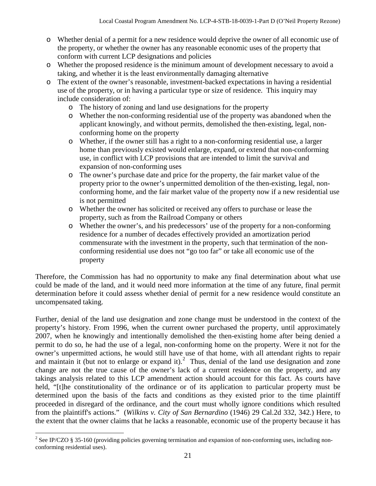- o Whether denial of a permit for a new residence would deprive the owner of all economic use of the property, or whether the owner has any reasonable economic uses of the property that conform with current LCP designations and policies
- o Whether the proposed residence is the minimum amount of development necessary to avoid a taking, and whether it is the least environmentally damaging alternative
- o The extent of the owner's reasonable, investment-backed expectations in having a residential use of the property, or in having a particular type or size of residence. This inquiry may include consideration of:
	- o The history of zoning and land use designations for the property
	- o Whether the non-conforming residential use of the property was abandoned when the applicant knowingly, and without permits, demolished the then-existing, legal, nonconforming home on the property
	- o Whether, if the owner still has a right to a non-conforming residential use, a larger home than previously existed would enlarge, expand, or extend that non-conforming use, in conflict with LCP provisions that are intended to limit the survival and expansion of non-conforming uses
	- o The owner's purchase date and price for the property, the fair market value of the property prior to the owner's unpermitted demolition of the then-existing, legal, nonconforming home, and the fair market value of the property now if a new residential use is not permitted
	- o Whether the owner has solicited or received any offers to purchase or lease the property, such as from the Railroad Company or others
	- o Whether the owner's, and his predecessors' use of the property for a non-conforming residence for a number of decades effectively provided an amortization period commensurate with the investment in the property, such that termination of the nonconforming residential use does not "go too far" or take all economic use of the property

Therefore, the Commission has had no opportunity to make any final determination about what use could be made of the land, and it would need more information at the time of any future, final permit determination before it could assess whether denial of permit for a new residence would constitute an uncompensated taking.

Further, denial of the land use designation and zone change must be understood in the context of the property's history. From 1996, when the current owner purchased the property, until approximately 2007, when he knowingly and intentionally demolished the then-existing home after being denied a permit to do so, he had the use of a legal, non-conforming home on the property. Were it not for the owner's unpermitted actions, he would still have use of that home, with all attendant rights to repair and maintain it (but not to enlarge or expand it).<sup>[2](#page-20-0)</sup> Thus, denial of the land use designation and zone change are not the true cause of the owner's lack of a current residence on the property, and any takings analysis related to this LCP amendment action should account for this fact. As courts have held, "[t]he constitutionality of the ordinance or of its application to particular property must be determined upon the basis of the facts and conditions as they existed prior to the time plaintiff proceeded in disregard of the ordinance, and the court must wholly ignore conditions which resulted from the plaintiff's actions." (*Wilkins v. City of San Bernardino* (1946) 29 Cal.2d 332, 342.) Here, to the extent that the owner claims that he lacks a reasonable, economic use of the property because it has

<span id="page-20-0"></span><sup>&</sup>lt;sup>2</sup> See IP/CZO § 35-160 (providing policies governing termination and expansion of non-conforming uses, including nonconforming residential uses).